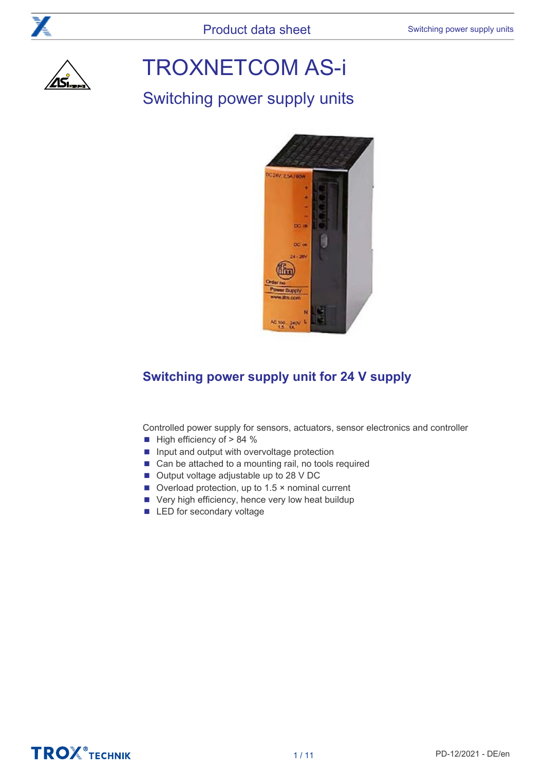

# TROXNETCOM AS-i

# Switching power supply units



# **Switching power supply unit for 24 V supply**

Controlled power supply for sensors, actuators, sensor electronics and controller

- High efficiency of > 84 %
- Input and output with overvoltage protection
- Can be attached to a mounting rail, no tools required
- Output voltage adjustable up to 28 V DC
- Overload protection, up to 1.5 × nominal current
- Very high efficiency, hence very low heat buildup
- LED for secondary voltage

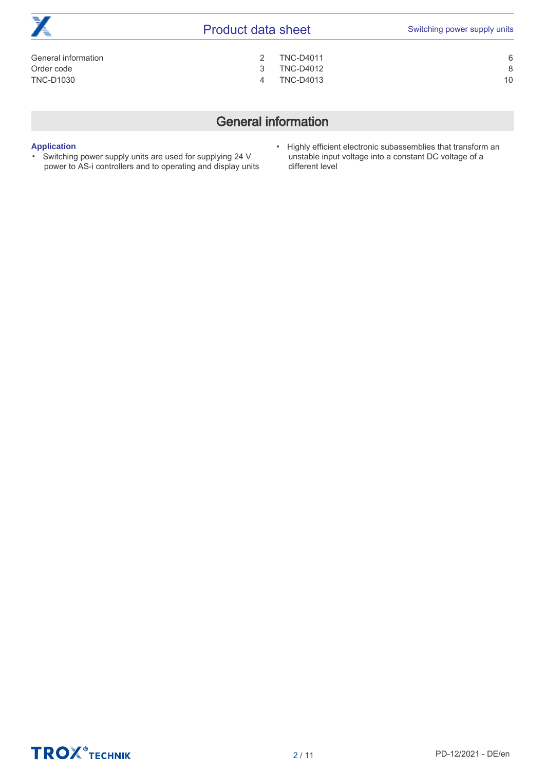| 77<br>Æ             | <b>Product data sheet</b> |                  | Switching power supply units |
|---------------------|---------------------------|------------------|------------------------------|
| General information |                           | <b>TNC-D4011</b> | 6                            |
| Order code          |                           | <b>TNC-D4012</b> | 8                            |
| <b>TNC-D1030</b>    | 4                         | <b>TNC-D4013</b> | 10                           |
|                     |                           |                  |                              |

# General information

### <span id="page-1-0"></span>**Application** ▪

- Switching power supply units are used for supplying 24 V power to AS-i controllers and to operating and display units
- Highly efficient electronic subassemblies that transform an unstable input voltage into a constant DC voltage of a different level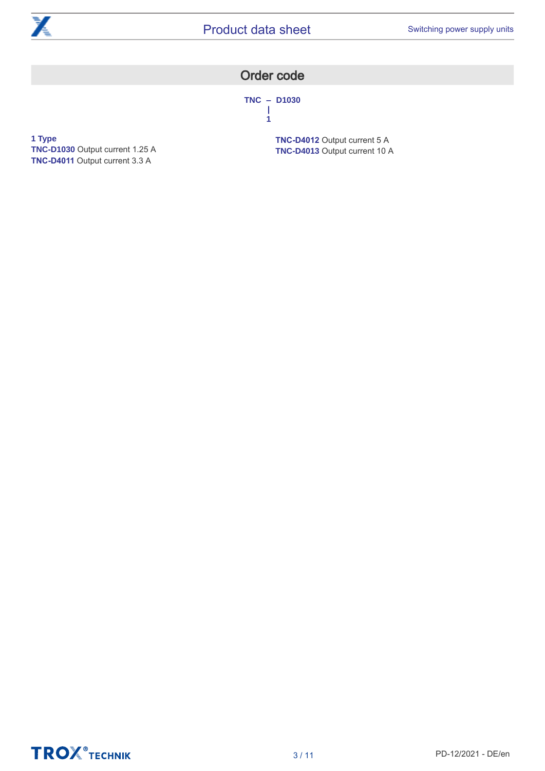<span id="page-2-0"></span>

## Order code

**TNC – D1030 | 1**

**1 Type TNC-D1030** Output current 1.25 A **TNC-D4011** Output current 3.3 A

**TNC-D4012** Output current 5 A **TNC-D4013** Output current 10 A

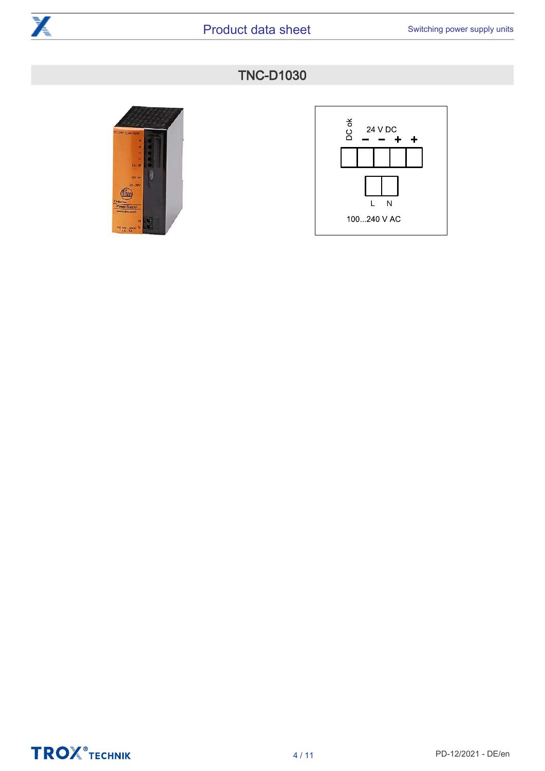<span id="page-3-0"></span>





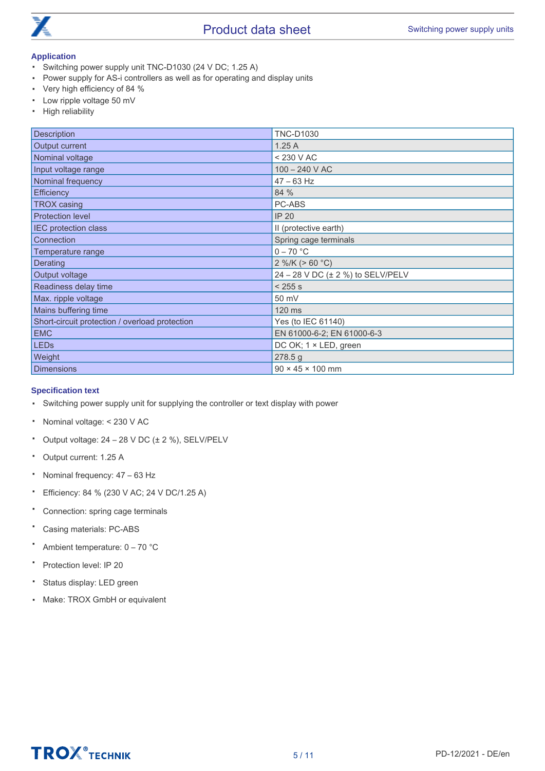

- Switching power supply unit TNC-D1030 (24 V DC; 1.25 A)
- Power supply for AS-i controllers as well as for operating and display units
- Very high efficiency of 84 %
- Low ripple voltage 50 mV
- High reliability

| Description                                    | <b>TNC-D1030</b>                  |
|------------------------------------------------|-----------------------------------|
| Output current                                 | 1.25A                             |
| Nominal voltage                                | < 230 V AC                        |
| Input voltage range                            | $100 - 240$ V AC                  |
| Nominal frequency                              | $47 - 63$ Hz                      |
| <b>Efficiency</b>                              | 84 %                              |
| <b>TROX</b> casing                             | PC-ABS                            |
| <b>Protection level</b>                        | <b>IP 20</b>                      |
| IEC protection class                           | II (protective earth)             |
| Connection                                     | Spring cage terminals             |
| Temperature range                              | $0 - 70$ °C                       |
| Derating                                       | 2 %/K ( $> 60 °C$ )               |
| Output voltage                                 | 24 - 28 V DC (± 2 %) to SELV/PELV |
| Readiness delay time                           | < 255 s                           |
| Max. ripple voltage                            | 50 mV                             |
| Mains buffering time                           | 120 ms                            |
| Short-circuit protection / overload protection | Yes (to IEC 61140)                |
| <b>EMC</b>                                     | EN 61000-6-2; EN 61000-6-3        |
| <b>LEDs</b>                                    | DC OK; 1 × LED, green             |
| Weight                                         | 278.5 g                           |
| <b>Dimensions</b>                              | $90 \times 45 \times 100$ mm      |

### **Specification text**

- Switching power supply unit for supplying the controller or text display with power
- Nominal voltage: < 230 V AC
- Output voltage: 24 – 28 V DC (± 2 %), SELV/PELV
- Output current: 1.25 A
- Nominal frequency: 47 – 63 Hz
- Efficiency: 84 % (230 V AC; 24 V DC/1.25 A)
- Connection: spring cage terminals
- Casing materials: PC-ABS
- Ambient temperature: 0 – 70 °C
- Protection level: IP 20
- Status display: LED green
- Make: TROX GmbH or equivalent

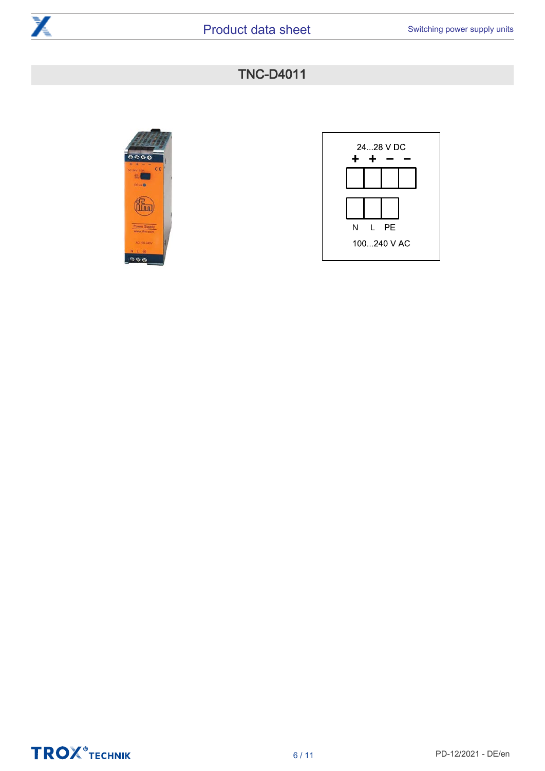





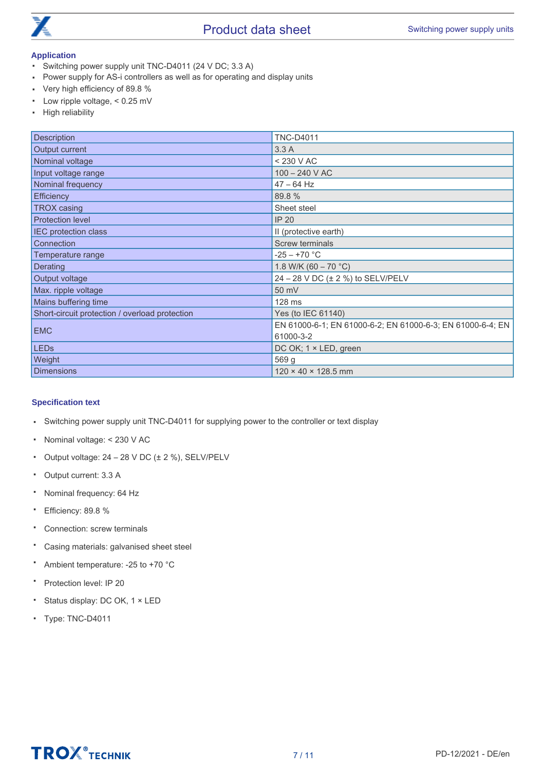

- <span id="page-6-0"></span>▪ Switching power supply unit TNC-D4011 (24 V DC; 3.3 A)
- Power supply for AS-i controllers as well as for operating and display units
- Very high efficiency of 89.8 %
- Low ripple voltage, < 0.25 mV
- High reliability

| Description                                    | <b>TNC-D4011</b>                                           |
|------------------------------------------------|------------------------------------------------------------|
| Output current                                 | 3.3A                                                       |
| Nominal voltage                                | < 230 V AC                                                 |
| Input voltage range                            | $100 - 240$ V AC                                           |
| Nominal frequency                              | $47 - 64$ Hz                                               |
| Efficiency                                     | 89.8 %                                                     |
| <b>TROX</b> casing                             | Sheet steel                                                |
| <b>Protection level</b>                        | <b>IP 20</b>                                               |
| <b>IEC protection class</b>                    | II (protective earth)                                      |
| Connection                                     | <b>Screw terminals</b>                                     |
| Temperature range                              | $-25 - +70$ °C                                             |
| Derating                                       | 1.8 W/K (60 - 70 °C)                                       |
| Output voltage                                 | 24 - 28 V DC (± 2 %) to SELV/PELV                          |
| Max. ripple voltage                            | 50 mV                                                      |
| Mains buffering time                           | 128 ms                                                     |
| Short-circuit protection / overload protection | Yes (to IEC 61140)                                         |
| <b>EMC</b>                                     | EN 61000-6-1; EN 61000-6-2; EN 61000-6-3; EN 61000-6-4; EN |
|                                                | 61000-3-2                                                  |
| <b>LEDs</b>                                    | DC OK; 1 × LED, green                                      |
| Weight                                         | 569 g                                                      |
| <b>Dimensions</b>                              | $120 \times 40 \times 128.5$ mm                            |

### **Specification text**

- Switching power supply unit TNC-D4011 for supplying power to the controller or text display
- Nominal voltage: < 230 V AC
- Output voltage: 24 – 28 V DC (± 2 %), SELV/PELV
- Output current: 3.3 A
- Nominal frequency: 64 Hz
- Efficiency: 89.8 %
- Connection: screw terminals
- Casing materials: galvanised sheet steel
- Ambient temperature: -25 to +70 °C
- Protection level: IP 20
- Status display: DC OK, 1 × LED
- Type: TNC-D4011

# **TROX** TECHNIK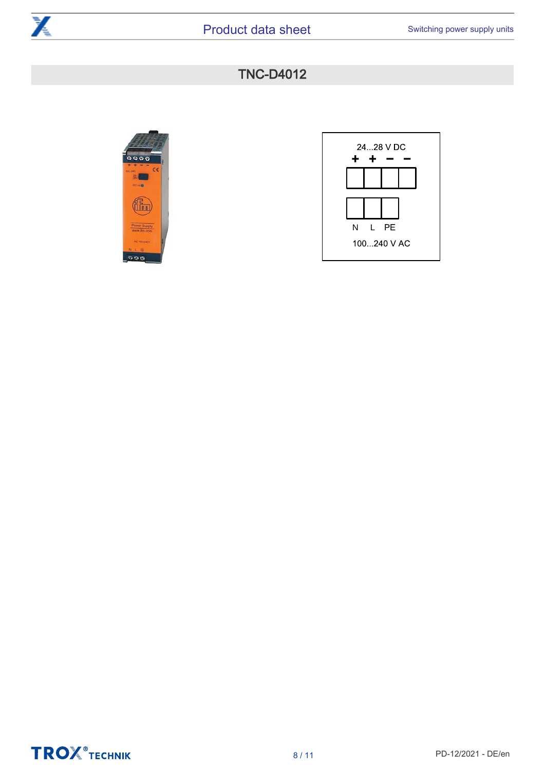





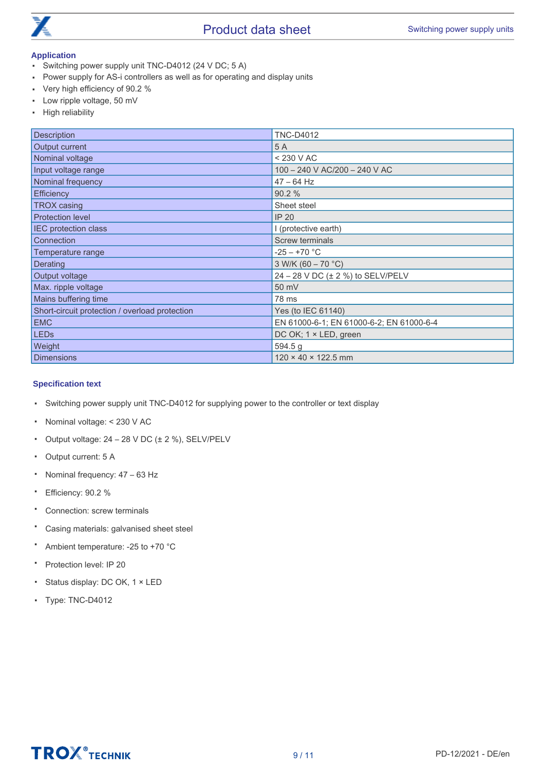

- <span id="page-8-0"></span>▪ Switching power supply unit TNC-D4012 (24 V DC; 5 A)
- Power supply for AS-i controllers as well as for operating and display units
- Very high efficiency of 90.2 %
- Low ripple voltage, 50 mV
- High reliability

| Description                                    | <b>TNC-D4012</b>                         |
|------------------------------------------------|------------------------------------------|
| Output current                                 | 5 A                                      |
| Nominal voltage                                | < 230 V AC                               |
| Input voltage range                            | 100 - 240 V AC/200 - 240 V AC            |
| Nominal frequency                              | $47 - 64$ Hz                             |
| Efficiency                                     | 90.2 %                                   |
| <b>TROX</b> casing                             | Sheet steel                              |
| <b>Protection level</b>                        | <b>IP 20</b>                             |
| <b>IEC</b> protection class                    | I (protective earth)                     |
| Connection                                     | Screw terminals                          |
| Temperature range                              | $-25 - +70 °C$                           |
| Derating                                       | 3 W/K (60 - 70 °C)                       |
| Output voltage                                 | 24 - 28 V DC (± 2 %) to SELV/PELV        |
| Max. ripple voltage                            | 50 mV                                    |
| Mains buffering time                           | 78 ms                                    |
| Short-circuit protection / overload protection | Yes (to IEC 61140)                       |
| <b>EMC</b>                                     | EN 61000-6-1; EN 61000-6-2; EN 61000-6-4 |
| <b>LEDs</b>                                    | DC OK; 1 × LED, green                    |
| Weight                                         | 594.5 g                                  |
| Dimensions                                     | $120 \times 40 \times 122.5$ mm          |

#### **Specification text**

- Switching power supply unit TNC-D4012 for supplying power to the controller or text display
- Nominal voltage: < 230 V AC
- Output voltage: 24 – 28 V DC (± 2 %), SELV/PELV
- Output current: 5 A
- Nominal frequency: 47 – 63 Hz
- Efficiency: 90.2 %
- Connection: screw terminals
- Casing materials: galvanised sheet steel
- Ambient temperature: -25 to +70 °C
- Protection level: IP 20
- Status display: DC OK, 1 × LED
- Type: TNC-D4012

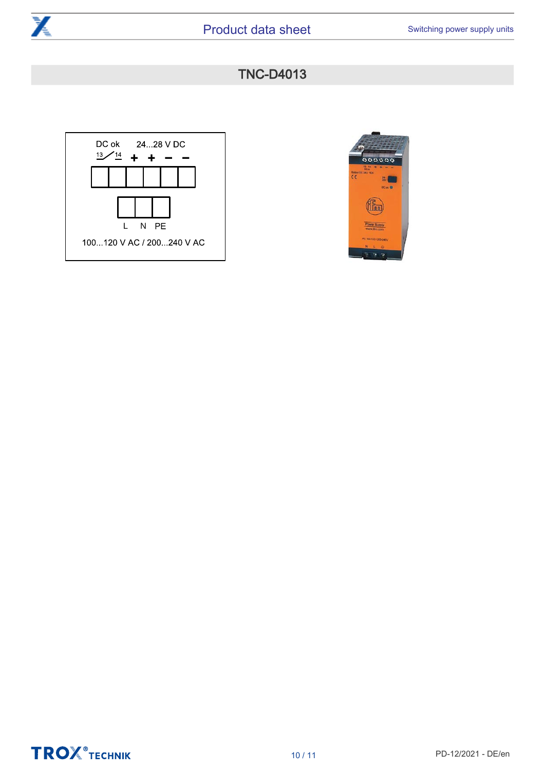